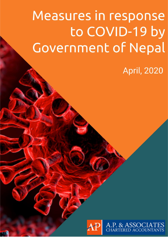# Measures in response to COVID-19 by **Government of Nepal**

**April, 2020** 

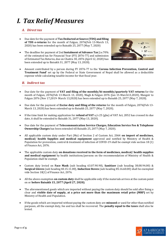### *I. Tax Relief Measures*

#### *A. Direct tax*

- Due date for the payment of **Tax Deducted at Source (TDS) and filing of TDS e-returns** for the month of Falgun, 2076(Feb 13-March 13, 2020) has been extended up to Baisakh 25, 2077 (May 7, 2020)
- The deadline for payment of 2nd **Instalment of Advance Tax** [i.e.70% of the estimated tax for Financial Year (FY) 2076-77] and submission of Estimated Tax Returns, due on Chaitra 30, 2076 (April 12, 2020) has been extended up to Baisakh 31, 2077 (May 13, 2020).



• Amount contributed by a person during FY 2076-77 to the '**Corona Infection Prevention, Control and Treatment Fund'** set up by the Federal or State Government of Nepal shall be allowed as a deductible expense while calculating taxable income for that fiscal year.

#### *B. Indirect tax*

- Due date for the payment of **VAT and filing of the monthly/bi-monthly/quarterly VAT returns** for the month of Falgun, 2076(Feb 13-March 13, 2020), Magh & Falgun 2076 (Jan 15-March13,2020), Mangsir to Falgun 2076 (Nov 17,2019- March 13,2020) has been extended up to Baisakh 25, 2077 (May 7, 2020).
- Due date for the payment of **Excise duty and filing of the returns** for the month of Falgun, 2076(Feb 13- March 13, 2020) has been extended up to Baisakh 25, 2077 (May 7, 2020).
- If the time limit for making application for **refund of VAT** u/s 25 (gha) of VAT Act, 2052 has crossed its due date, it shall be extended to Baisakh 31, 2077 (May 13, 2020).
- Due date for the payment of **Telecommunication Service Charges, Education Service Fee & Telephone Ownership Charges** has been extended till Baisakh 25, 2077 (May 7, 2020).
- All applicable custom duty under Part (Ma) of Section 2 of Custom Act, 2064 **on import of medicines, medical/ health Supplies and medical equipment** approved and notified by Ministry of Health & Population for prevention, control & treatment of infection of COVID-19 shall be exempt vide section 18 (1) of Finance Act, 2076.
- The applicable custom duty **on donations received in the form of medicines, medical/ health supplies and medical equipment** by health institutions/persons on the recommendation of Ministry of Health & Population shall be exempt.
- Custom duty levied on **Face Mask** (sub heading 63.07.90.90), **Sanitizer** (sub heading 38.08.94.00) & **Surgical Gloves** (sub heading 40.15.11.00), **Induction Stoves** (sub heading 85.16.60.00) shall be exempted vide Section 18(1) of Finance Act, 2076.
- All the above exemption **on custom duty** shall be applicable only if the materials arrives at the custom point on or **before Baisakh 15, 2077 (April 27, 2020)**.
- The aforementioned goods which are imported without paying the custom duty should be sold after fixing a clear and **visible date of supply, at a price not more than the maximum retail price (MRP)** set by Ministry of Health and Population.
- If the goods which are imported without paying the custom duty are **misused** or used for other than notified purposes, all the exempt duty, fee and tax shall be recovered. The **penalty equal to the taxes** shall also be levied.

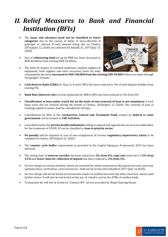### *II. Relief Measures to Bank and Financial Institution (BFIs)*

- The **loans and advances need not be classified to lower categories** due to the reason of delay or non-collection of principal or interest if such amount being due on Chaitra, 2076(April 12, 2020) are collected till Ashadh 31, 2077(July 15, 2020).
- Size of **refinancing fund** set up by NRB has been increased to NPR 60 billion from existing NPR 50 billion
- The limit for import of essential medicines, medical supplies & equipment, food supplies and other necessary items for daily consumption has been **increased to USD 100,000 from the existing USD 30,000** if there are made through Telegraphic Transfer
- **Cash Reserve Ratio (CRR)** for Class A, B and C BFIs has been reduced to 3% of total deposit liability from existing 4%.
- **Bank Rate (Interest rate**) on loan disbursed by NRB to BFIs has been reduced to 5% from 6%.
- **Classification of loan under watch list on the basis of non-renewal of loan is not mandatory** if such loans were due for renewal during the month of Chaitra, 2076(April 12, 2020). The renewal of loan in working capital in nature shall be extended for 60 days.
- Contributions by BFIs to the **Coronavirus Control and Treatment Fund** created by **federal or state government** can be treated as **CSR Activities**.
- Loan disbursed to the **private health institutions** willing to expand and upgrade the services to enable them for the treatment of COVID 19 can be classified as **loan to priority sector**.
- **No penalty** will be imposed in case of non-compliances of various **regulatory/supervisory ratios** to be complied in Chaitra, 2076(April 12, 2020).
- The **counter cycle buffer** requirement as provided in the Capital Adequacy Framework, 2015 has been deferred.
- The ceiling limit of **interest corridor** has been reduced to **5% from 6%, repo rate** reduced to 3**.5% from 4.5%** and **lower limit for collection of deposit** has been reduced to **2% from 3%.**
- Service charge on various facilities, which are essential for online transactions like password reset, pin reset, authentication, verification, card renewal etc. shall not be levied until Ashadh31,2077 (July 15,2020).
- Service charge will not be levied on transactions made via mobile/internet/any other electronic means until further notice. It will also be not levied on the use of a bank's card at the ATMs of another bank.
- Transaction fee will not be levied on "Connect IPS" service provided by Nepal Clearing House.



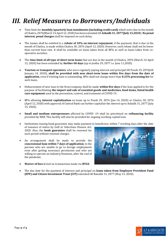## *III. Relief Measures to Borrowers/Individuals*

- Time limit for **monthly/quarterly loan instalments (including credit card)** which were due in the month of Chaitra, 2076(March 14-April 12, 2020) has been extended till **Ashadh 31, 2077(July 15,2020**). **No penal interest, penal charges** shall be imposed on such delay.
- The loanee shall be entitled to a **rebate of 10% on interest repayment**, if the payment, that is due in the month of Chaitra, is made within Chaitra 30, 2076 (April 12, 2020). However, such rebate shall not be lower than current base rate. It shall be available on loans taken from all BFIs as well as loans taken from cooperative societies.
- The **time limit of all type of short-term loans** that are due in the month of Chaitra, 2076 (March 14-April 12, 2020) has been extended by **further 60 days** (up to Jestha 29, 2077 i.e. June 11,2020).
- **Tourism or transport operators**, who were regularly paying interest and principal till Poush 29, 2076(till January 14, 2020), **shall be provided with new short-term loans within five days from the date of application**, even if existing loan is outstanding. BFIs shall not charge more than **0.25% processing fee** for such loans.
- Disbursement of new loan to the firm/company shall be made **within five days** if the loan applied is for the purpose of facilitating **the import and sale of essential goods and medicines, food items, listed health care equipment** used in the prevention, control, and treatment of COVID 19.
- BFIs allowing **interest capitalization** on loans up to Poush 29, 2076 (Jan 14, 2020) or Chaitra 30, 2076 (April 12, 2020) with approval of Central Bank can further capitalize the interest up to Ashadh 31, 2077 (July 15, 2020).
- **Small and medium entrepreneurs** affected by COVID -19 shall be prioritized on **refinancing facility** provided by NRB. This facility will also be provided for ongoing working capital loan.

• Institutions issuing bank guarantee may make payment to beneficiary within 7 working days after the date of issuance of notice by GoN in 'Infectious Disease Act,

2020. Also, the **bank guarantee** shall be renewed for such period without renewal charges.

- An arrangement shall be made to provide the **concessional loan within 7 days of application**, to the persons who are unable to go to foreign employment even after getting necessary permission and who are willing to operate an industry/business, after the end of the pandemic.
- **Waiver of fees** levied on transactions made via **RTGS**.



• The due date for the payment of interest and principal on **loans taken from Employee Provident Fund (EPF) and Citizen Investment Trust (CIT)** extended till Baisakh 31, 2077 (May 13, 2020).

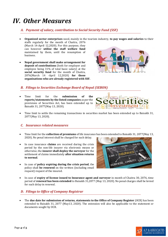### *IV. Other Measures*

#### *A. Payment of salary, contribution to Social Security Fund (SSF)*

• **Organized sector enterprises** need, mainly in the tourism industry, **to pay wages and salaries** to their staffs regularly for the month of Chaitra, 2076

(March 14-April 12,2020). For this purpose, they can however **utilize the staff welfare fund** maintained by them, until the resumption of business.

• **Nepal government shall make arrangement for deposit of contributions** (both for employer and employee being 31% of total basic salary) at the **social security fund** for the month of Chaitra, 2076(March 14 -April 12,2020) **for those organisations who are already registered with SSF.**



#### *B. Filings to Securities Exchange Board of Nepal (SEBON)*

• Time limit for the **submission of the reports/statements by the listed companies** as per the provisions of Securities Act, has been extended up to Baisakh 31, 2077(May 13, 2020).



• Time limit to settle the remaining transactions in securities market has been extended up to Baisakh 31, 2077(May 13, 2020).

#### *C. Insurance related measures*

- Time limit for the **collection of premiums** of life insurance has been extended to Baisakh 31, 2077(May 13, 2020). No penal interest shall be charged for such delay.
- In case insurance **claims** are received during the crisis period by the non-life insurer via electronic means or otherwise, the **insurer shall deploy the surveyor** for the settlement of claims immediately **after situation returns to normal**.
- In case of **policy expiring during the crisis period**, the policy shall **be renewed** on the written (including email request) request of the insured.



• In case of **expiry of license issued to Insurance agent and surveyor** in month of Chaitra 30, 2076, time period of **renewal has been extended** to Baisakh 31,2077 (May 13, 2020). No penal charges shall be levied for such delay in renewal.

#### *D. Filings to Office of Company Registrar*

• The **due date for submission of returns, statements to the Office of Company Register** (OCR) has been extended to Baisakh 31, 2077 (May13, 2020). The extension will also be applicable to the statement or documents sought by OCR.

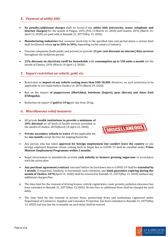#### *E. Payment of utility bills*

- **No penalty/additional charges** shall be levied if the **utility bills (electricity, water, telephone and internet charges)** for the month of Falgun, 2076 (Feb 13-March 13, 2020) and Chaitra, 2076 (March 14- April 12, 2020) are paid with in Baisakh 31, 2077(May 13, 2020).
- **Manufacturing industries** that consume electricity in the specified time and period above a certain limit shall be allowed rebate **up to 30% to 50%,** depending on the nature of industry.
- Telecom companies (both public and private) to provide **25 per cent discount on internet/data services** throughout the lockdown period.
- **25% discount on electricity tariff for households** with **consumption up to 150 units a month**, for the month of Chaitra, 2076 (March 14-April 12, 2020)

#### *F. Import restriction on vehicle, gold, etc.*

- Restriction on **import of any vehicle costing more than USD 50,000**. However, no such restriction to be applicable on LCs made before Chaitra 16, 2076 (March 29, 2020).
- Ban on the import **of peppercorns (Marichha), betelnuts (Supari), peas (Kerau) and dates fruit (Chhogada).**
- Reduction on import of **gold to 10 kg** per day from 20 kg*.*

#### *G. Miscellaneous relief measures*

- All private **health institutions to provide a minimum of 20% discount** on all kinds of health services provided in the month of Chaitra, 2076(March 14-April 12, 2020).
- **Private secondary schools to waive** all the applicable fee for **one month** except the fees for lodging/hostel fee.



- Any person who has taken **approval for foreign employment but couldn't leave the country** or any foreign employed Nepalese citizen coming back to Nepal due to COVID-19 shall be enrolled under **Prime Minister Employment Programme within 2 months.**
- Nepal Government to mandatorily provide **cash subsidy to farmers growing sugarcane** in accordance with the action plan.
- **Any purchase agreement/contract** executed before the lockdown due to COVID-19 shall be **extended by 1 month,** if requested. Similarly, to harmonize such extension, any **bank guarantee expiring during the month of Chaitra, 2076**(April 12, 2020) shall be renewed to Baisakh 31, 2077(May 13, 2020) without any additional charges/fine.
- The time limit for the renewal of driving license, vehicle registration, route permits, pollution clearance has been extended to Baisakh 31, 2077(May 13,2020). No late fees or additional fines shall be charged for such delay.
- The time limit for the renewal of private firms, partnership firms and institutions registered under Department of Commerce, Supplies and Consumer Protection, has been extended to Baisakh 31, 2077(May 13, 2020) and any late fee or penalty on such delay shall be waived.